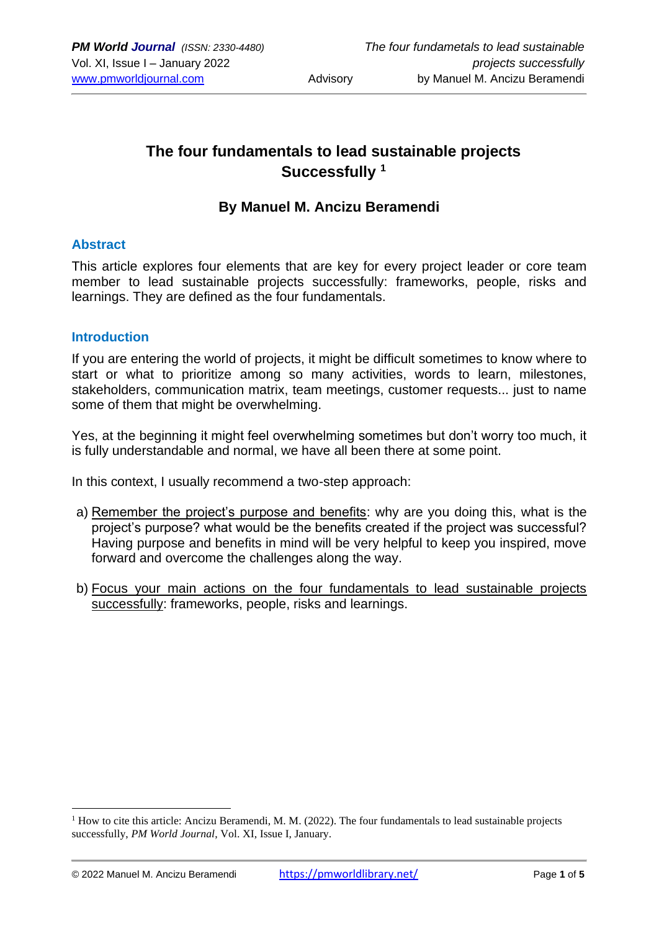# **The four fundamentals to lead sustainable projects Successfully <sup>1</sup>**

### **By Manuel M. Ancizu Beramendi**

#### **Abstract**

This article explores four elements that are key for every project leader or core team member to lead sustainable projects successfully: frameworks, people, risks and learnings. They are defined as the four fundamentals.

#### **Introduction**

If you are entering the world of projects, it might be difficult sometimes to know where to start or what to prioritize among so many activities, words to learn, milestones, stakeholders, communication matrix, team meetings, customer requests... just to name some of them that might be overwhelming.

Yes, at the beginning it might feel overwhelming sometimes but don't worry too much, it is fully understandable and normal, we have all been there at some point.

In this context, I usually recommend a two-step approach:

- a) Remember the project's purpose and benefits: why are you doing this, what is the project's purpose? what would be the benefits created if the project was successful? Having purpose and benefits in mind will be very helpful to keep you inspired, move forward and overcome the challenges along the way.
- b) Focus your main actions on the four fundamentals to lead sustainable projects successfully: frameworks, people, risks and learnings.

 $1$  How to cite this article: Ancizu Beramendi, M. M. (2022). The four fundamentals to lead sustainable projects successfully, *PM World Journal*, Vol. XI, Issue I, January.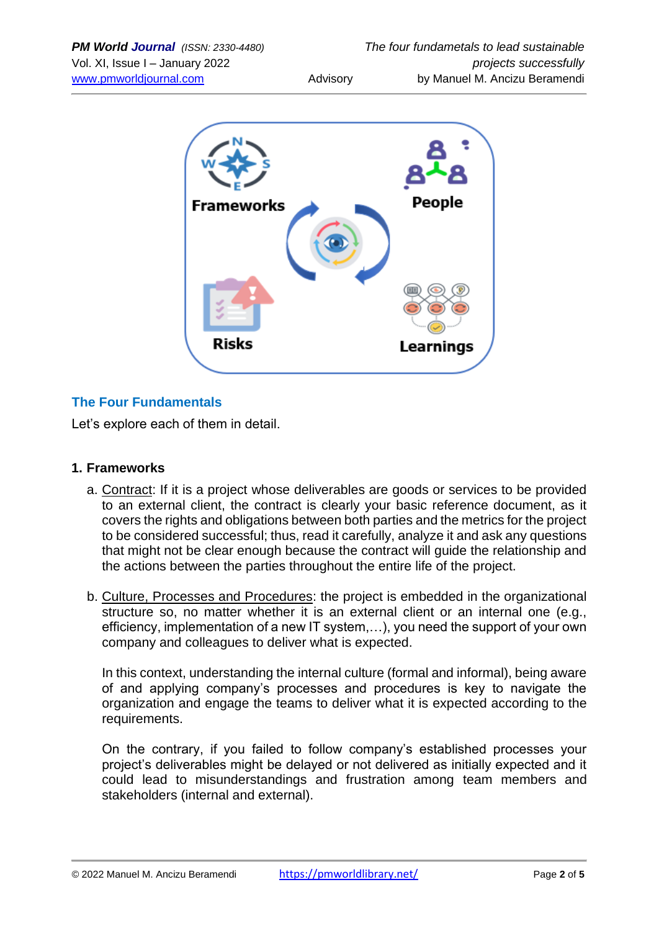

## **The Four Fundamentals**

Let's explore each of them in detail.

#### **1. Frameworks**

- a. Contract: If it is a project whose deliverables are goods or services to be provided to an external client, the contract is clearly your basic reference document, as it covers the rights and obligations between both parties and the metrics for the project to be considered successful; thus, read it carefully, analyze it and ask any questions that might not be clear enough because the contract will guide the relationship and the actions between the parties throughout the entire life of the project.
- b. Culture, Processes and Procedures: the project is embedded in the organizational structure so, no matter whether it is an external client or an internal one (e.g., efficiency, implementation of a new IT system,…), you need the support of your own company and colleagues to deliver what is expected.

In this context, understanding the internal culture (formal and informal), being aware of and applying company's processes and procedures is key to navigate the organization and engage the teams to deliver what it is expected according to the requirements.

On the contrary, if you failed to follow company's established processes your project's deliverables might be delayed or not delivered as initially expected and it could lead to misunderstandings and frustration among team members and stakeholders (internal and external).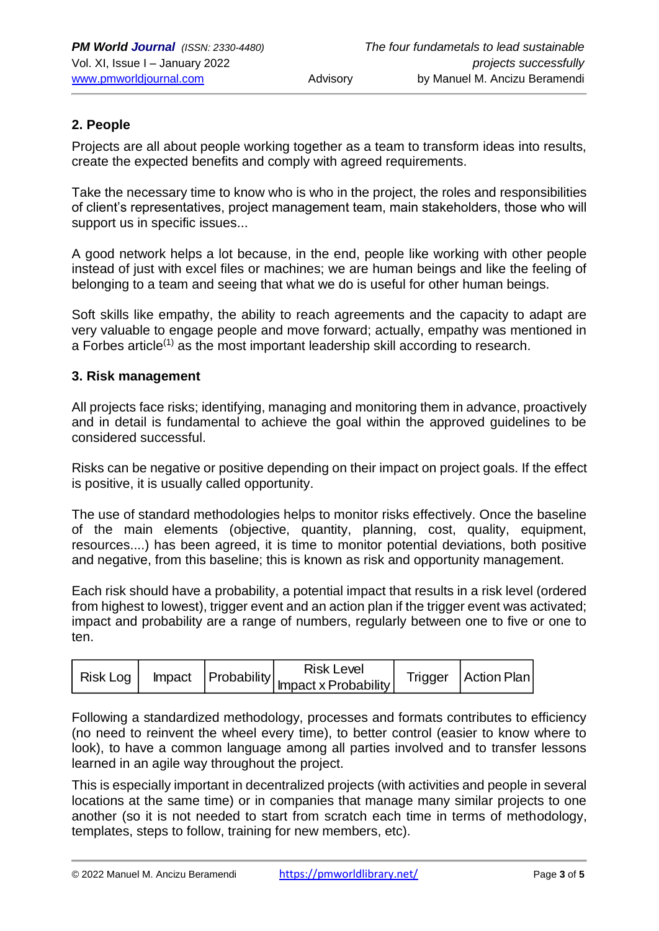### **2. People**

Projects are all about people working together as a team to transform ideas into results, create the expected benefits and comply with agreed requirements.

Take the necessary time to know who is who in the project, the roles and responsibilities of client's representatives, project management team, main stakeholders, those who will support us in specific issues...

A good network helps a lot because, in the end, people like working with other people instead of just with excel files or machines; we are human beings and like the feeling of belonging to a team and seeing that what we do is useful for other human beings.

Soft skills like empathy, the ability to reach agreements and the capacity to adapt are very valuable to engage people and move forward; actually, empathy was mentioned in a Forbes article<sup>(1)</sup> as the most important leadership skill according to research.

#### **3. Risk management**

All projects face risks; identifying, managing and monitoring them in advance, proactively and in detail is fundamental to achieve the goal within the approved guidelines to be considered successful.

Risks can be negative or positive depending on their impact on project goals. If the effect is positive, it is usually called opportunity.

The use of standard methodologies helps to monitor risks effectively. Once the baseline of the main elements (objective, quantity, planning, cost, quality, equipment, resources....) has been agreed, it is time to monitor potential deviations, both positive and negative, from this baseline; this is known as risk and opportunity management.

Each risk should have a probability, a potential impact that results in a risk level (ordered from highest to lowest), trigger event and an action plan if the trigger event was activated; impact and probability are a range of numbers, regularly between one to five or one to ten.

|  |  | risk Log   Impact   Probability   mpact x Probability   Inguen | <b>Risk Level</b> |  | Trigger   Action Plan |
|--|--|----------------------------------------------------------------|-------------------|--|-----------------------|
|  |  |                                                                |                   |  |                       |

Following a standardized methodology, processes and formats contributes to efficiency (no need to reinvent the wheel every time), to better control (easier to know where to look), to have a common language among all parties involved and to transfer lessons learned in an agile way throughout the project.

This is especially important in decentralized projects (with activities and people in several locations at the same time) or in companies that manage many similar projects to one another (so it is not needed to start from scratch each time in terms of methodology, templates, steps to follow, training for new members, etc).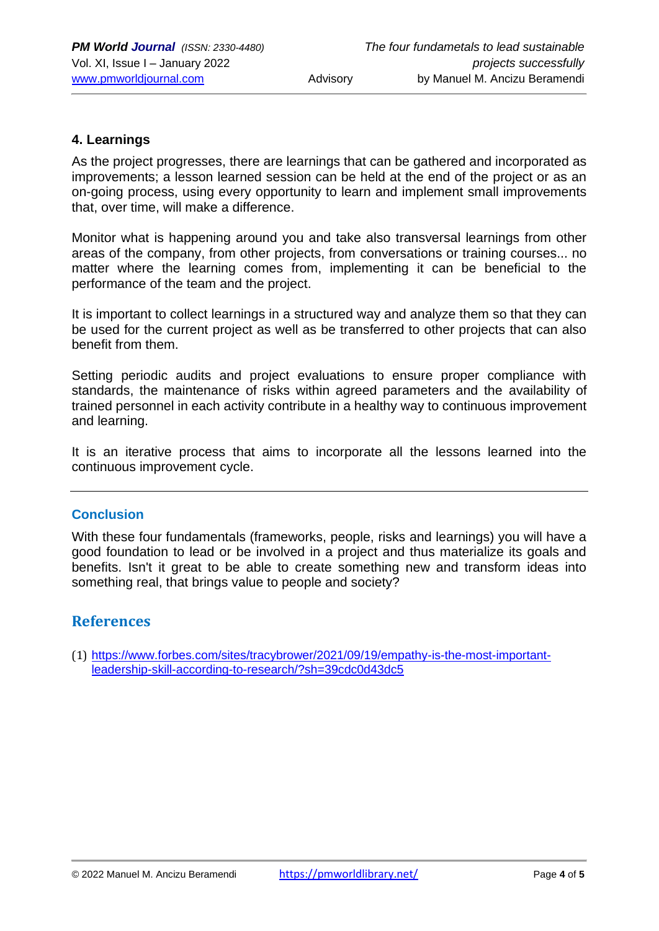#### **4. Learnings**

As the project progresses, there are learnings that can be gathered and incorporated as improvements; a lesson learned session can be held at the end of the project or as an on-going process, using every opportunity to learn and implement small improvements that, over time, will make a difference.

Monitor what is happening around you and take also transversal learnings from other areas of the company, from other projects, from conversations or training courses... no matter where the learning comes from, implementing it can be beneficial to the performance of the team and the project.

It is important to collect learnings in a structured way and analyze them so that they can be used for the current project as well as be transferred to other projects that can also benefit from them.

Setting periodic audits and project evaluations to ensure proper compliance with standards, the maintenance of risks within agreed parameters and the availability of trained personnel in each activity contribute in a healthy way to continuous improvement and learning.

It is an iterative process that aims to incorporate all the lessons learned into the continuous improvement cycle.

#### **Conclusion**

With these four fundamentals (frameworks, people, risks and learnings) you will have a good foundation to lead or be involved in a project and thus materialize its goals and benefits. Isn't it great to be able to create something new and transform ideas into something real, that brings value to people and society?

## **References**

(1) [https://www.forbes.com/sites/tracybrower/2021/09/19/empathy-is-the-most-important](https://www.forbes.com/sites/tracybrower/2021/09/19/empathy-is-the-most-important-leadership-skill-according-to-research/?sh=39cdc0d43dc5)[leadership-skill-according-to-research/?sh=39cdc0d43dc5](https://www.forbes.com/sites/tracybrower/2021/09/19/empathy-is-the-most-important-leadership-skill-according-to-research/?sh=39cdc0d43dc5)